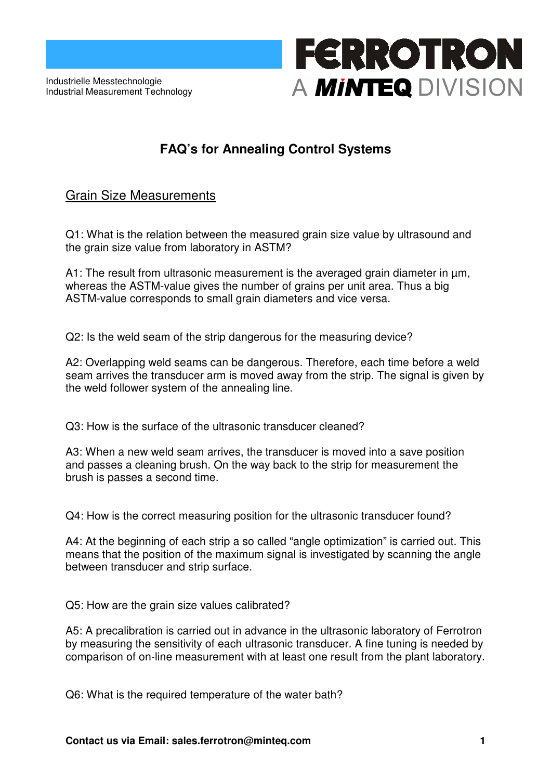Industrielle Messtechnologie Industrial Measurement Technology

# **FERROTRON** A MINTEQ DIVISION

### **FAQ's for Annealing Control Systems**

#### Grain Size Measurements

Q1: What is the relation between the measured grain size value by ultrasound and the grain size value from laboratory in ASTM?

A1: The result from ultrasonic measurement is the averaged grain diameter in µm, whereas the ASTM-value gives the number of grains per unit area. Thus a big ASTM-value corresponds to small grain diameters and vice versa.

Q2: Is the weld seam of the strip dangerous for the measuring device?

A2: Overlapping weld seams can be dangerous. Therefore, each time before a weld seam arrives the transducer arm is moved away from the strip. The signal is given by the weld follower system of the annealing line.

Q3: How is the surface of the ultrasonic transducer cleaned?

A3: When a new weld seam arrives, the transducer is moved into a save position and passes a cleaning brush. On the way back to the strip for measurement the brush is passes a second time.

Q4: How is the correct measuring position for the ultrasonic transducer found?

A4: At the beginning of each strip a so called "angle optimization" is carried out. This means that the position of the maximum signal is investigated by scanning the angle between transducer and strip surface.

Q5: How are the grain size values calibrated?

A5: A precalibration is carried out in advance in the ultrasonic laboratory of Ferrotron by measuring the sensitivity of each ultrasonic transducer. A fine tuning is needed by comparison of on-line measurement with at least one result from the plant laboratory.

Q6: What is the required temperature of the water bath?